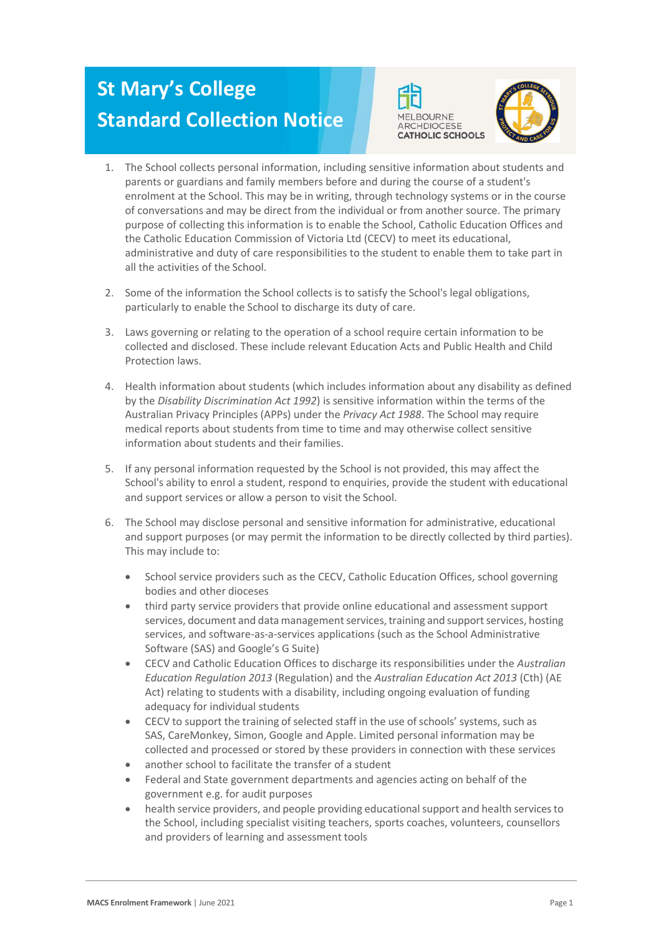## **St Mary's College Standard Collection Notice**





- 1. The School collects personal information, including sensitive information about students and parents or guardians and family members before and during the course of a student's enrolment at the School. This may be in writing, through technology systems or in the course of conversations and may be direct from the individual or from another source. The primary purpose of collecting this information is to enable the School, Catholic Education Offices and the Catholic Education Commission of Victoria Ltd (CECV) to meet its educational, administrative and duty of care responsibilities to the student to enable them to take part in all the activities of the School.
- 2. Some of the information the School collects is to satisfy the School's legal obligations, particularly to enable the School to discharge its duty of care.
- 3. Laws governing or relating to the operation of a school require certain information to be collected and disclosed. These include relevant Education Acts and Public Health and Child Protection laws.
- 4. Health information about students (which includes information about any disability as defined by the *Disability Discrimination Act 1992*) is sensitive information within the terms of the Australian Privacy Principles (APPs) under the *Privacy Act 1988*. The School may require medical reports about students from time to time and may otherwise collect sensitive information about students and their families.
- 5. If any personal information requested by the School is not provided, this may affect the School's ability to enrol a student, respond to enquiries, provide the student with educational and support services or allow a person to visit the School.
- 6. The School may disclose personal and sensitive information for administrative, educational and support purposes (or may permit the information to be directly collected by third parties). This may include to:
	- School service providers such as the CECV, Catholic Education Offices, school governing bodies and other dioceses
	- third party service providers that provide online educational and assessment support services, document and data management services, training and support services, hosting services, and software-as-a-services applications (such as the School Administrative Software (SAS) and Google's G Suite)
	- CECV and Catholic Education Offices to discharge its responsibilities under the *Australian Education Regulation 2013* (Regulation) and the *Australian Education Act 2013* (Cth) (AE Act) relating to students with a disability, including ongoing evaluation of funding adequacy for individual students
	- CECV to support the training of selected staff in the use of schools' systems, such as SAS, CareMonkey, Simon, Google and Apple. Limited personal information may be collected and processed or stored by these providers in connection with these services
	- another school to facilitate the transfer of a student
	- Federal and State government departments and agencies acting on behalf of the government e.g. for audit purposes
	- health service providers, and people providing educationalsupport and health servicesto the School, including specialist visiting teachers, sports coaches, volunteers, counsellors and providers of learning and assessment tools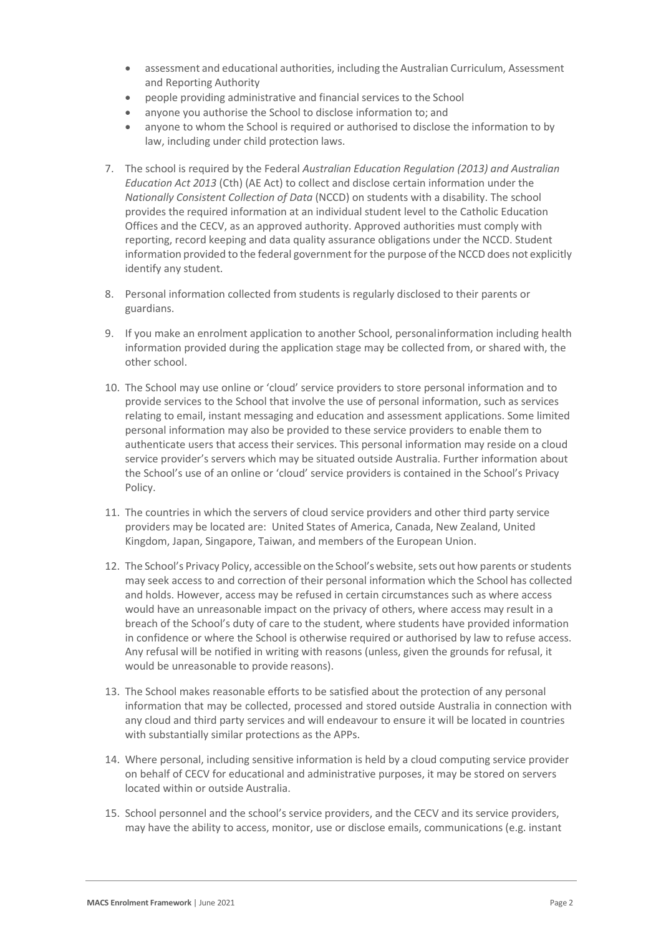- assessment and educational authorities, including the Australian Curriculum, Assessment and Reporting Authority
- people providing administrative and financial services to the School
- anyone you authorise the School to disclose information to; and
- anyone to whom the School is required or authorised to disclose the information to by law, including under child protection laws.
- 7. The school is required by the Federal *Australian Education Regulation (2013) and Australian Education Act 2013* (Cth) (AE Act) to collect and disclose certain information under the *Nationally Consistent Collection of Data* (NCCD) on students with a disability. The school provides the required information at an individual student level to the Catholic Education Offices and the CECV, as an approved authority. Approved authorities must comply with reporting, record keeping and data quality assurance obligations under the NCCD. Student information provided to the federal government for the purpose of the NCCD does not explicitly identify any student.
- 8. Personal information collected from students is regularly disclosed to their parents or guardians.
- 9. If you make an enrolment application to another School, personalinformation including health information provided during the application stage may be collected from, or shared with, the other school.
- 10. The School may use online or 'cloud' service providers to store personal information and to provide services to the School that involve the use of personal information, such as services relating to email, instant messaging and education and assessment applications. Some limited personal information may also be provided to these service providers to enable them to authenticate users that access their services. This personal information may reside on a cloud service provider's servers which may be situated outside Australia. Further information about the School's use of an online or 'cloud' service providers is contained in the School's Privacy Policy.
- 11. The countries in which the servers of cloud service providers and other third party service providers may be located are: United States of America, Canada, New Zealand, United Kingdom, Japan, Singapore, Taiwan, and members of the European Union.
- 12. The School's Privacy Policy, accessible on the School's website, sets out how parents or students may seek access to and correction of their personal information which the School has collected and holds. However, access may be refused in certain circumstances such as where access would have an unreasonable impact on the privacy of others, where access may result in a breach of the School's duty of care to the student, where students have provided information in confidence or where the School is otherwise required or authorised by law to refuse access. Any refusal will be notified in writing with reasons (unless, given the grounds for refusal, it would be unreasonable to provide reasons).
- 13. The School makes reasonable efforts to be satisfied about the protection of any personal information that may be collected, processed and stored outside Australia in connection with any cloud and third party services and will endeavour to ensure it will be located in countries with substantially similar protections as the APPs.
- 14. Where personal, including sensitive information is held by a cloud computing service provider on behalf of CECV for educational and administrative purposes, it may be stored on servers located within or outside Australia.
- 15. School personnel and the school's service providers, and the CECV and its service providers, may have the ability to access, monitor, use or disclose emails, communications (e.g. instant